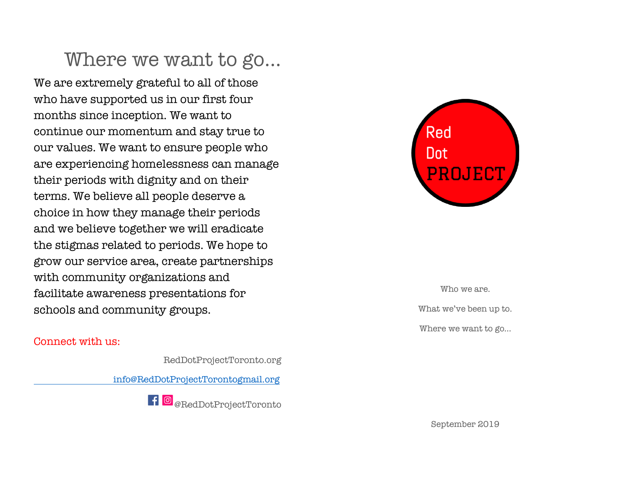## Where we want to go…

We are extremely grateful to all of those who have supported us in our first four months since inception. We want to continue our momentum and stay true to our values. We want to ensure people who are experiencing homelessness can manage their periods with dignity and on their terms. We believe all people deserve a choice in how they manage their periods and we believe together we will eradicate the stigmas related to periods. We hope to grow our service area, create partnerships with community organizations and facilitate awareness presentations for schools and community groups.

#### Connect with us:

RedDotProjectToronto.org

info@RedDotProjectTorontogmail.org





Who we are. What we've been up to. Where we want to go…

September 2019